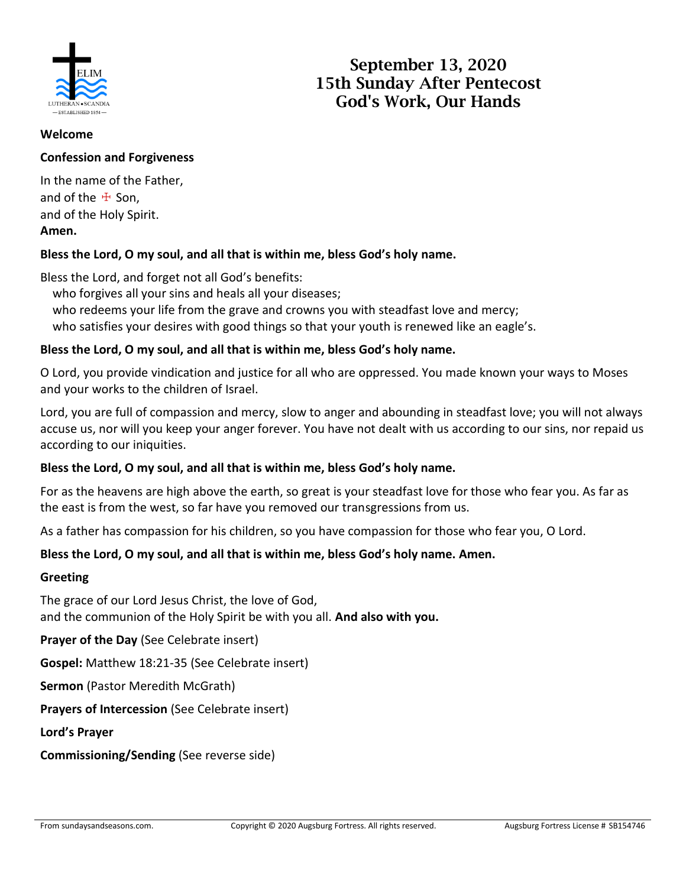

# **September 13, 2020 15th Sunday After Pentecost God's Work, Our Hands**

#### **Welcome**

## **Confession and Forgiveness**

In the name of the Father, and of the  $#$  Son, and of the Holy Spirit. **Amen.**

## **Bless the Lord, O my soul, and all that is within me, bless God's holy name.**

Bless the Lord, and forget not all God's benefits:

who forgives all your sins and heals all your diseases;

who redeems your life from the grave and crowns you with steadfast love and mercy;

who satisfies your desires with good things so that your youth is renewed like an eagle's.

## **Bless the Lord, O my soul, and all that is within me, bless God's holy name.**

O Lord, you provide vindication and justice for all who are oppressed. You made known your ways to Moses and your works to the children of Israel.

Lord, you are full of compassion and mercy, slow to anger and abounding in steadfast love; you will not always accuse us, nor will you keep your anger forever. You have not dealt with us according to our sins, nor repaid us according to our iniquities.

## **Bless the Lord, O my soul, and all that is within me, bless God's holy name.**

For as the heavens are high above the earth, so great is your steadfast love for those who fear you. As far as the east is from the west, so far have you removed our transgressions from us.

As a father has compassion for his children, so you have compassion for those who fear you, O Lord.

## **Bless the Lord, O my soul, and all that is within me, bless God's holy name. Amen.**

#### **Greeting**

The grace of our Lord Jesus Christ, the love of God, and the communion of the Holy Spirit be with you all. **And also with you.**

**Prayer of the Day** (See Celebrate insert)

**Gospel:** Matthew 18:21-35 (See Celebrate insert)

**Sermon** (Pastor Meredith McGrath)

**Prayers of Intercession** (See Celebrate insert)

**Lord's Prayer**

**Commissioning/Sending** (See reverse side)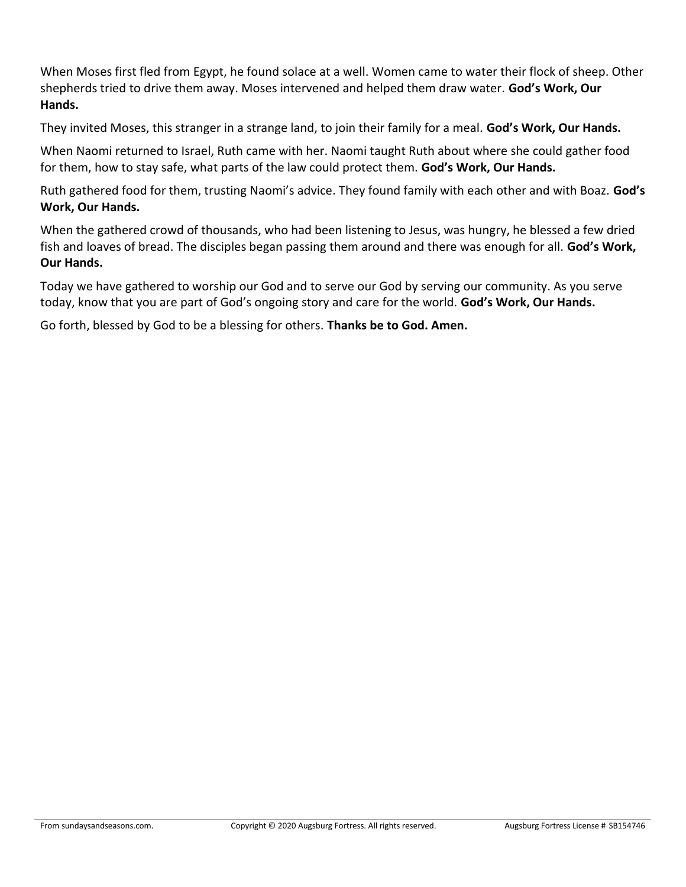When Moses first fled from Egypt, he found solace at a well. Women came to water their flock of sheep. Other shepherds tried to drive them away. Moses intervened and helped them draw water. **God's Work, Our Hands.**

They invited Moses, this stranger in a strange land, to join their family for a meal. **God's Work, Our Hands.**

When Naomi returned to Israel, Ruth came with her. Naomi taught Ruth about where she could gather food for them, how to stay safe, what parts of the law could protect them. **God's Work, Our Hands.**

Ruth gathered food for them, trusting Naomi's advice. They found family with each other and with Boaz. **God's Work, Our Hands.**

When the gathered crowd of thousands, who had been listening to Jesus, was hungry, he blessed a few dried fish and loaves of bread. The disciples began passing them around and there was enough for all. **God's Work, Our Hands.**

Today we have gathered to worship our God and to serve our God by serving our community. As you serve today, know that you are part of God's ongoing story and care for the world. **God's Work, Our Hands.**

Go forth, blessed by God to be a blessing for others. **Thanks be to God. Amen.**